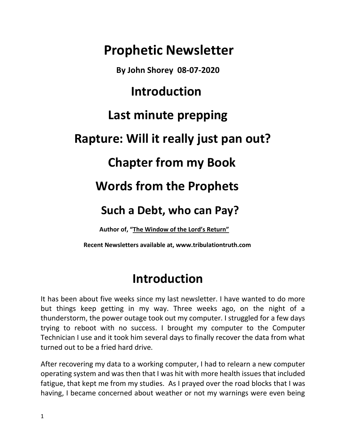# **Prophetic Newsletter By John Shorey 08-07-2020 Introduction Last minute prepping Rapture: Will it really just pan out? Chapter from my Book Words from the Prophets Such a Debt, who can Pay? Author of, "The Window of the Lord's Return"**

 **Recent Newsletters available at, [www.tribulationtruth.com](http://www.tribulationtruth.com/)**

## **Introduction**

It has been about five weeks since my last newsletter. I have wanted to do more but things keep getting in my way. Three weeks ago, on the night of a thunderstorm, the power outage took out my computer. I struggled for a few days trying to reboot with no success. I brought my computer to the Computer Technician I use and it took him several days to finally recover the data from what turned out to be a fried hard drive.

After recovering my data to a working computer, I had to relearn a new computer operating system and was then that I was hit with more health issues that included fatigue, that kept me from my studies. As I prayed over the road blocks that I was having, I became concerned about weather or not my warnings were even being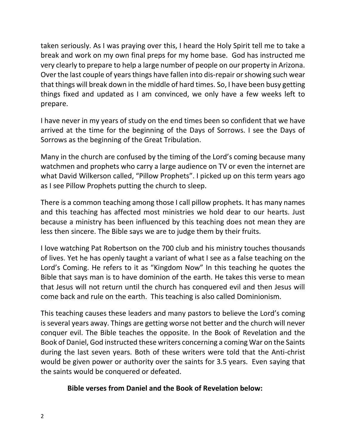taken seriously. As I was praying over this, I heard the Holy Spirit tell me to take a break and work on my own final preps for my home base. God has instructed me very clearly to prepare to help a large number of people on our property in Arizona. Over the last couple of years things have fallen into dis-repair or showing such wear that things will break down in the middle of hard times. So, I have been busy getting things fixed and updated as I am convinced, we only have a few weeks left to prepare.

I have never in my years of study on the end times been so confident that we have arrived at the time for the beginning of the Days of Sorrows. I see the Days of Sorrows as the beginning of the Great Tribulation.

Many in the church are confused by the timing of the Lord's coming because many watchmen and prophets who carry a large audience on TV or even the internet are what David Wilkerson called, "Pillow Prophets". I picked up on this term years ago as I see Pillow Prophets putting the church to sleep.

There is a common teaching among those I call pillow prophets. It has many names and this teaching has affected most ministries we hold dear to our hearts. Just because a ministry has been influenced by this teaching does not mean they are less then sincere. The Bible says we are to judge them by their fruits.

I love watching Pat Robertson on the 700 club and his ministry touches thousands of lives. Yet he has openly taught a variant of what I see as a false teaching on the Lord's Coming. He refers to it as "Kingdom Now" In this teaching he quotes the Bible that says man is to have dominion of the earth. He takes this verse to mean that Jesus will not return until the church has conquered evil and then Jesus will come back and rule on the earth. This teaching is also called Dominionism.

This teaching causes these leaders and many pastors to believe the Lord's coming is several years away. Things are getting worse not better and the church will never conquer evil. The Bible teaches the opposite. In the Book of Revelation and the Book of Daniel, God instructed these writers concerning a coming War on the Saints during the last seven years. Both of these writers were told that the Anti-christ would be given power or authority over the saints for 3.5 years. Even saying that the saints would be conquered or defeated.

#### **Bible verses from Daniel and the Book of Revelation below:**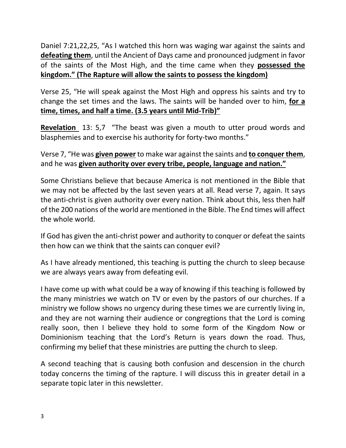Daniel 7:21,22,25, "As I watched this horn was waging war against the saints and **defeating them**, until the Ancient of Days came and pronounced judgment in favor of the saints of the Most High, and the time came when they **possessed the kingdom." (The Rapture will allow the saints to possess the kingdom)**

Verse 25, "He will speak against the Most High and oppress his saints and try to change the set times and the laws. The saints will be handed over to him, **for a time, times, and half a time. (3.5 years until Mid-Trib)"**

**Revelation** 13: 5,7 "The beast was given a mouth to utter proud words and blasphemies and to exercise his authority for forty-two months."

Verse 7, "He was **given power** to make war against the saints and **to conquer them**, and he was **given authority over every tribe, people, language and nation."**

Some Christians believe that because America is not mentioned in the Bible that we may not be affected by the last seven years at all. Read verse 7, again. It says the anti-christ is given authority over every nation. Think about this, less then half of the 200 nations of the world are mentioned in the Bible. The End times will affect the whole world.

If God has given the anti-christ power and authority to conquer or defeat the saints then how can we think that the saints can conquer evil?

As I have already mentioned, this teaching is putting the church to sleep because we are always years away from defeating evil.

I have come up with what could be a way of knowing if this teaching is followed by the many ministries we watch on TV or even by the pastors of our churches. If a ministry we follow shows no urgency during these times we are currently living in, and they are not warning their audience or congregtions that the Lord is coming really soon, then I believe they hold to some form of the Kingdom Now or Dominionism teaching that the Lord's Return is years down the road. Thus, confirming my belief that these ministries are putting the church to sleep.

A second teaching that is causing both confusion and descension in the church today concerns the timing of the rapture. I will discuss this in greater detail in a separate topic later in this newsletter.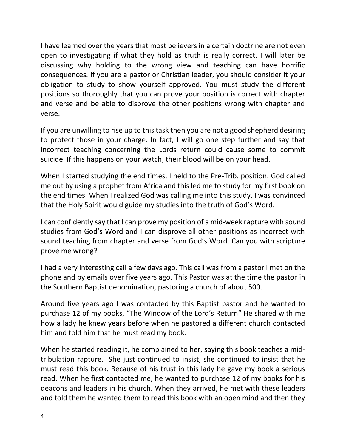I have learned over the years that most believers in a certain doctrine are not even open to investigating if what they hold as truth is really correct. I will later be discussing why holding to the wrong view and teaching can have horrific consequences. If you are a pastor or Christian leader, you should consider it your obligation to study to show yourself approved. You must study the different positions so thoroughly that you can prove your position is correct with chapter and verse and be able to disprove the other positions wrong with chapter and verse.

If you are unwilling to rise up to this task then you are not a good shepherd desiring to protect those in your charge. In fact, I will go one step further and say that incorrect teaching concerning the Lords return could cause some to commit suicide. If this happens on your watch, their blood will be on your head.

When I started studying the end times, I held to the Pre-Trib. position. God called me out by using a prophet from Africa and this led me to study for my first book on the end times. When I realized God was calling me into this study, I was convinced that the Holy Spirit would guide my studies into the truth of God's Word.

I can confidently say that I can prove my position of a mid-week rapture with sound studies from God's Word and I can disprove all other positions as incorrect with sound teaching from chapter and verse from God's Word. Can you with scripture prove me wrong?

I had a very interesting call a few days ago. This call was from a pastor I met on the phone and by emails over five years ago. This Pastor was at the time the pastor in the Southern Baptist denomination, pastoring a church of about 500.

Around five years ago I was contacted by this Baptist pastor and he wanted to purchase 12 of my books, "The Window of the Lord's Return" He shared with me how a lady he knew years before when he pastored a different church contacted him and told him that he must read my book.

When he started reading it, he complained to her, saying this book teaches a midtribulation rapture. She just continued to insist, she continued to insist that he must read this book. Because of his trust in this lady he gave my book a serious read. When he first contacted me, he wanted to purchase 12 of my books for his deacons and leaders in his church. When they arrived, he met with these leaders and told them he wanted them to read this book with an open mind and then they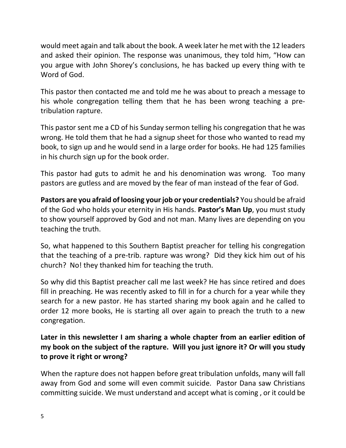would meet again and talk about the book. A week later he met with the 12 leaders and asked their opinion. The response was unanimous, they told him, "How can you argue with John Shorey's conclusions, he has backed up every thing with te Word of God.

This pastor then contacted me and told me he was about to preach a message to his whole congregation telling them that he has been wrong teaching a pretribulation rapture.

This pastor sent me a CD of his Sunday sermon telling his congregation that he was wrong. He told them that he had a signup sheet for those who wanted to read my book, to sign up and he would send in a large order for books. He had 125 families in his church sign up for the book order.

This pastor had guts to admit he and his denomination was wrong. Too many pastors are gutless and are moved by the fear of man instead of the fear of God.

**Pastors are you afraid of loosing your job or your credentials?** You should be afraid of the God who holds your eternity in His hands. **Pastor's Man Up**, you must study to show yourself approved by God and not man. Many lives are depending on you teaching the truth.

So, what happened to this Southern Baptist preacher for telling his congregation that the teaching of a pre-trib. rapture was wrong? Did they kick him out of his church? No! they thanked him for teaching the truth.

So why did this Baptist preacher call me last week? He has since retired and does fill in preaching. He was recently asked to fill in for a church for a year while they search for a new pastor. He has started sharing my book again and he called to order 12 more books, He is starting all over again to preach the truth to a new congregation.

### **Later in this newsletter I am sharing a whole chapter from an earlier edition of my book on the subject of the rapture. Will you just ignore it? Or will you study to prove it right or wrong?**

When the rapture does not happen before great tribulation unfolds, many will fall away from God and some will even commit suicide. Pastor Dana saw Christians committing suicide. We must understand and accept what is coming , or it could be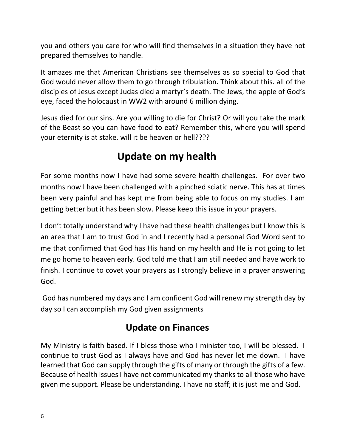you and others you care for who will find themselves in a situation they have not prepared themselves to handle.

It amazes me that American Christians see themselves as so special to God that God would never allow them to go through tribulation. Think about this. all of the disciples of Jesus except Judas died a martyr's death. The Jews, the apple of God's eye, faced the holocaust in WW2 with around 6 million dying.

Jesus died for our sins. Are you willing to die for Christ? Or will you take the mark of the Beast so you can have food to eat? Remember this, where you will spend your eternity is at stake. will it be heaven or hell????

## **Update on my health**

For some months now I have had some severe health challenges. For over two months now I have been challenged with a pinched sciatic nerve. This has at times been very painful and has kept me from being able to focus on my studies. I am getting better but it has been slow. Please keep this issue in your prayers.

I don't totally understand why I have had these health challenges but I know this is an area that I am to trust God in and I recently had a personal God Word sent to me that confirmed that God has His hand on my health and He is not going to let me go home to heaven early. God told me that I am still needed and have work to finish. I continue to covet your prayers as I strongly believe in a prayer answering God.

God has numbered my days and I am confident God will renew my strength day by day so I can accomplish my God given assignments

### **Update on Finances**

My Ministry is faith based. If I bless those who I minister too, I will be blessed. I continue to trust God as I always have and God has never let me down. I have learned that God can supply through the gifts of many or through the gifts of a few. Because of health issues I have not communicated my thanks to all those who have given me support. Please be understanding. I have no staff; it is just me and God.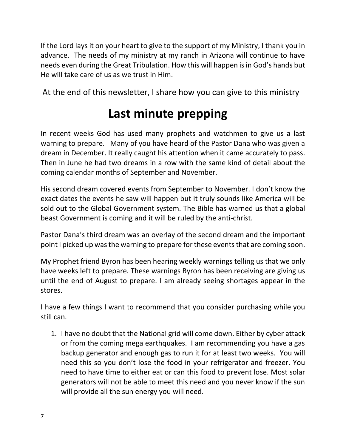If the Lord lays it on your heart to give to the support of my Ministry, I thank you in advance. The needs of my ministry at my ranch in Arizona will continue to have needs even during the Great Tribulation. How this will happen is in God's hands but He will take care of us as we trust in Him.

At the end of this newsletter, I share how you can give to this ministry

## **Last minute prepping**

In recent weeks God has used many prophets and watchmen to give us a last warning to prepare. Many of you have heard of the Pastor Dana who was given a dream in December. It really caught his attention when it came accurately to pass. Then in June he had two dreams in a row with the same kind of detail about the coming calendar months of September and November.

His second dream covered events from September to November. I don't know the exact dates the events he saw will happen but it truly sounds like America will be sold out to the Global Government system. The Bible has warned us that a global beast Government is coming and it will be ruled by the anti-christ.

Pastor Dana's third dream was an overlay of the second dream and the important point I picked up was the warning to prepare for these events that are coming soon.

My Prophet friend Byron has been hearing weekly warnings telling us that we only have weeks left to prepare. These warnings Byron has been receiving are giving us until the end of August to prepare. I am already seeing shortages appear in the stores.

I have a few things I want to recommend that you consider purchasing while you still can.

1. I have no doubt that the National grid will come down. Either by cyber attack or from the coming mega earthquakes. I am recommending you have a gas backup generator and enough gas to run it for at least two weeks. You will need this so you don't lose the food in your refrigerator and freezer. You need to have time to either eat or can this food to prevent lose. Most solar generators will not be able to meet this need and you never know if the sun will provide all the sun energy you will need.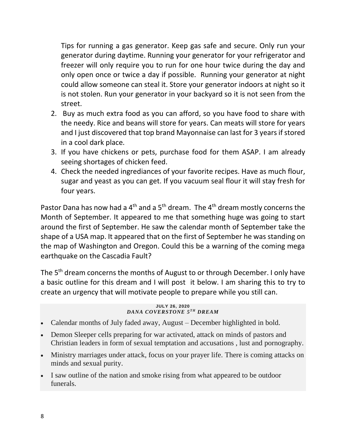Tips for running a gas generator. Keep gas safe and secure. Only run your generator during daytime. Running your generator for your refrigerator and freezer will only require you to run for one hour twice during the day and only open once or twice a day if possible. Running your generator at night could allow someone can steal it. Store your generator indoors at night so it is not stolen. Run your generator in your backyard so it is not seen from the street.

- 2. Buy as much extra food as you can afford, so you have food to share with the needy. Rice and beans will store for years. Can meats will store for years and I just discovered that top brand Mayonnaise can last for 3 years if stored in a cool dark place.
- 3. If you have chickens or pets, purchase food for them ASAP. I am already seeing shortages of chicken feed.
- 4. Check the needed ingrediances of your favorite recipes. Have as much flour, sugar and yeast as you can get. If you vacuum seal flour it will stay fresh for four years.

Pastor Dana has now had a  $4<sup>th</sup>$  and a  $5<sup>th</sup>$  dream. The  $4<sup>th</sup>$  dream mostly concerns the Month of September. It appeared to me that something huge was going to start around the first of September. He saw the calendar month of September take the shape of a USA map. It appeared that on the first of September he was standing on the map of Washington and Oregon. Could this be a warning of the coming mega earthquake on the Cascadia Fault?

The 5<sup>th</sup> dream concerns the months of August to or through December. I only have a basic outline for this dream and I will post it below. I am sharing this to try to create an urgency that will motivate people to prepare while you still can.

#### **JULY 26, 2020** *DANA COVERSTONE 5<sup>TH</sup> DREAM*

- Calendar months of July faded away, August December highlighted in bold.
- Demon Sleeper cells preparing for war activated, attack on minds of pastors and Christian leaders in form of sexual temptation and accusations , lust and pornography.
- Ministry marriages under attack, focus on your prayer life. There is coming attacks on minds and sexual purity.
- I saw outline of the nation and smoke rising from what appeared to be outdoor funerals.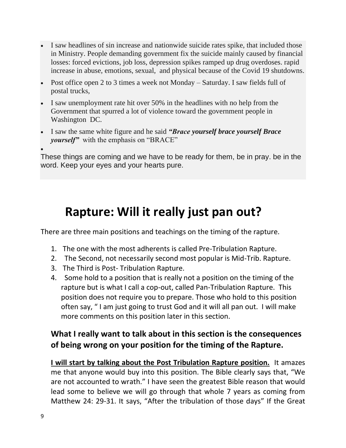- I saw headlines of sin increase and nationwide suicide rates spike, that included those in Ministry. People demanding government fix the suicide mainly caused by financial losses: forced evictions, job loss, depression spikes ramped up drug overdoses. rapid increase in abuse, emotions, sexual, and physical because of the Covid 19 shutdowns.
- Post office open 2 to 3 times a week not Monday Saturday. I saw fields full of postal trucks,
- I saw unemployment rate hit over 50% in the headlines with no help from the Government that spurred a lot of violence toward the government people in Washington DC.
- I saw the same white figure and he said *"Brace yourself brace yourself Brace yourself"* with the emphasis on "BRACE"

•

These things are coming and we have to be ready for them, be in pray. be in the word. Keep your eyes and your hearts pure.

## **Rapture: Will it really just pan out?**

There are three main positions and teachings on the timing of the rapture.

- 1. The one with the most adherents is called Pre-Tribulation Rapture.
- 2. The Second, not necessarily second most popular is Mid-Trib. Rapture.
- 3. The Third is Post- Tribulation Rapture.
- 4. Some hold to a position that is really not a position on the timing of the rapture but is what I call a cop-out, called Pan-Tribulation Rapture. This position does not require you to prepare. Those who hold to this position often say, " I am just going to trust God and it will all pan out. I will make more comments on this position later in this section.

### **What I really want to talk about in this section is the consequences of being wrong on your position for the timing of the Rapture.**

**I will start by talking about the Post Tribulation Rapture position.** It amazes me that anyone would buy into this position. The Bible clearly says that, "We are not accounted to wrath." I have seen the greatest Bible reason that would lead some to believe we will go through that whole 7 years as coming from Matthew 24: 29-31. It says, "After the tribulation of those days" If the Great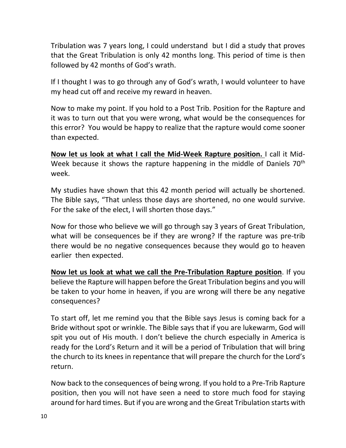Tribulation was 7 years long, I could understand but I did a study that proves that the Great Tribulation is only 42 months long. This period of time is then followed by 42 months of God's wrath.

If I thought I was to go through any of God's wrath, I would volunteer to have my head cut off and receive my reward in heaven.

Now to make my point. If you hold to a Post Trib. Position for the Rapture and it was to turn out that you were wrong, what would be the consequences for this error? You would be happy to realize that the rapture would come sooner than expected.

**Now let us look at what I call the Mid-Week Rapture position.** I call it Mid-Week because it shows the rapture happening in the middle of Daniels 70<sup>th</sup> week.

My studies have shown that this 42 month period will actually be shortened. The Bible says, "That unless those days are shortened, no one would survive. For the sake of the elect, I will shorten those days."

Now for those who believe we will go through say 3 years of Great Tribulation, what will be consequences be if they are wrong? If the rapture was pre-trib there would be no negative consequences because they would go to heaven earlier then expected.

**Now let us look at what we call the Pre-Tribulation Rapture position**. If you believe the Rapture will happen before the Great Tribulation begins and you will be taken to your home in heaven, if you are wrong will there be any negative consequences?

To start off, let me remind you that the Bible says Jesus is coming back for a Bride without spot or wrinkle. The Bible says that if you are lukewarm, God will spit you out of His mouth. I don't believe the church especially in America is ready for the Lord's Return and it will be a period of Tribulation that will bring the church to its knees in repentance that will prepare the church for the Lord's return.

Now back to the consequences of being wrong. If you hold to a Pre-Trib Rapture position, then you will not have seen a need to store much food for staying around for hard times. But if you are wrong and the Great Tribulation starts with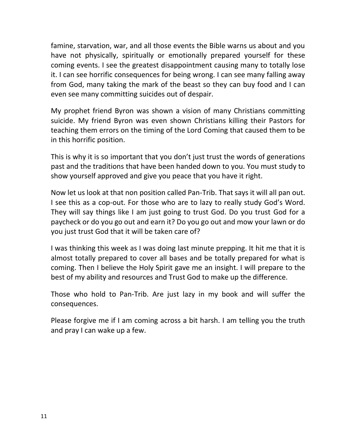famine, starvation, war, and all those events the Bible warns us about and you have not physically, spiritually or emotionally prepared yourself for these coming events. I see the greatest disappointment causing many to totally lose it. I can see horrific consequences for being wrong. I can see many falling away from God, many taking the mark of the beast so they can buy food and I can even see many committing suicides out of despair.

My prophet friend Byron was shown a vision of many Christians committing suicide. My friend Byron was even shown Christians killing their Pastors for teaching them errors on the timing of the Lord Coming that caused them to be in this horrific position.

This is why it is so important that you don't just trust the words of generations past and the traditions that have been handed down to you. You must study to show yourself approved and give you peace that you have it right.

Now let us look at that non position called Pan-Trib. That says it will all pan out. I see this as a cop-out. For those who are to lazy to really study God's Word. They will say things like I am just going to trust God. Do you trust God for a paycheck or do you go out and earn it? Do you go out and mow your lawn or do you just trust God that it will be taken care of?

I was thinking this week as I was doing last minute prepping. It hit me that it is almost totally prepared to cover all bases and be totally prepared for what is coming. Then I believe the Holy Spirit gave me an insight. I will prepare to the best of my ability and resources and Trust God to make up the difference.

Those who hold to Pan-Trib. Are just lazy in my book and will suffer the consequences.

Please forgive me if I am coming across a bit harsh. I am telling you the truth and pray I can wake up a few.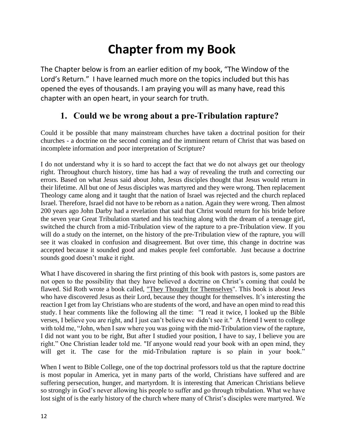## **Chapter from my Book**

The Chapter below is from an earlier edition of my book, "The Window of the Lord's Return." I have learned much more on the topics included but this has opened the eyes of thousands. I am praying you will as many have, read this chapter with an open heart, in your search for truth.

### **1. Could we be wrong about a pre-Tribulation rapture?**

Could it be possible that many mainstream churches have taken a doctrinal position for their churches - a doctrine on the second coming and the imminent return of Christ that was based on incomplete information and poor interpretation of Scripture?

I do not understand why it is so hard to accept the fact that we do not always get our theology right. Throughout church history, time has had a way of revealing the truth and correcting our errors. Based on what Jesus said about John, Jesus disciples thought that Jesus would return in their lifetime. All but one of Jesus disciples was martyred and they were wrong. Then replacement Theology came along and it taught that the nation of Israel was rejected and the church replaced Israel. Therefore, Israel did not have to be reborn as a nation. Again they were wrong. Then almost 200 years ago John Darby had a revelation that said that Christ would return for his bride before the seven year Great Tribulation started and his teaching along with the dream of a teenage girl, switched the church from a mid-Tribulation view of the rapture to a pre-Tribulation view. If you will do a study on the internet, on the history of the pre-Tribulation view of the rapture, you will see it was cloaked in confusion and disagreement. But over time, this change in doctrine was accepted because it sounded good and makes people feel comfortable. Just because a doctrine sounds good doesn't make it right.

What I have discovered in sharing the first printing of this book with pastors is, some pastors are not open to the possibility that they have believed a doctrine on Christ's coming that could be flawed. Sid Roth wrote a book called, "They Thought for Themselves". This book is about Jews who have discovered Jesus as their Lord, because they thought for themselves. It's interesting the reaction I get from lay Christians who are students of the word, and have an open mind to read this study. I hear comments like the following all the time: "I read it twice, I looked up the Bible verses, I believe you are right, and I just can't believe we didn't see it." A friend I went to college with told me, "John, when I saw where you was going with the mid-Tribulation view of the rapture, I did not want you to be right, But after I studied your position, I have to say, I believe you are right." One Christian leader told me. "If anyone would read your book with an open mind, they will get it. The case for the mid-Tribulation rapture is so plain in your book."

When I went to Bible College, one of the top doctrinal professors told us that the rapture doctrine is most popular in America, yet in many parts of the world, Christians have suffered and are suffering persecution, hunger, and martyrdom. It is interesting that American Christians believe so strongly in God's never allowing his people to suffer and go through tribulation. What we have lost sight of is the early history of the church where many of Christ's disciples were martyred. We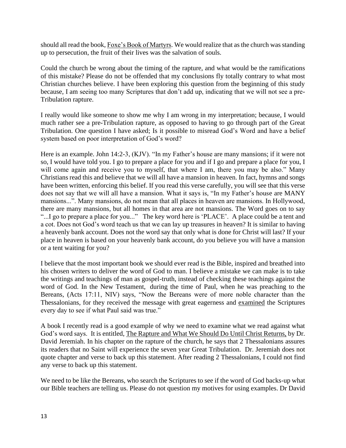should all read the book, Foxe's Book of Martyrs. We would realize that as the church was standing up to persecution, the fruit of their lives was the salvation of souls.

Could the church be wrong about the timing of the rapture, and what would be the ramifications of this mistake? Please do not be offended that my conclusions fly totally contrary to what most Christian churches believe. I have been exploring this question from the beginning of this study because, I am seeing too many Scriptures that don't add up, indicating that we will not see a pre-Tribulation rapture.

I really would like someone to show me why I am wrong in my interpretation; because, I would much rather see a pre-Tribulation rapture, as opposed to having to go through part of the Great Tribulation. One question I have asked; Is it possible to misread God's Word and have a belief system based on poor interpretation of God's word?

Here is an example. John 14:2-3, (KJV). "In my Father's house are many mansions; if it were not so, I would have told you. I go to prepare a place for you and if I go and prepare a place for you, I will come again and receive you to myself, that where I am, there you may be also." Many Christians read this and believe that we will all have a mansion in heaven. In fact, hymns and songs have been written, enforcing this belief. If you read this verse carefully, you will see that this verse does not say that we will all have a mansion. What it says is, "In my Father's house are MANY mansions...". Many mansions, do not mean that all places in heaven are mansions. In Hollywood, there are many mansions, but all homes in that area are not mansions. The Word goes on to say "...I go to prepare a place for you..." The key word here is 'PLACE'. A place could be a tent and a cot. Does not God's word teach us that we can lay up treasures in heaven? It is similar to having a heavenly bank account. Does not the word say that only what is done for Christ will last? If your place in heaven is based on your heavenly bank account, do you believe you will have a mansion or a tent waiting for you?

I believe that the most important book we should ever read is the Bible, inspired and breathed into his chosen writers to deliver the word of God to man. I believe a mistake we can make is to take the writings and teachings of man as gospel-truth, instead of checking these teachings against the word of God. In the New Testament, during the time of Paul, when he was preaching to the Bereans, (Acts 17:11, NIV) says, "Now the Bereans were of more noble character than the Thessalonians, for they received the message with great eagerness and examined the Scriptures every day to see if what Paul said was true."

A book I recently read is a good example of why we need to examine what we read against what God's word says. It is entitled, The Rapture and What We Should Do Until Christ Returns, by Dr. David Jeremiah. In his chapter on the rapture of the church, he says that 2 Thessalonians assures its readers that no Saint will experience the seven year Great Tribulation. Dr. Jeremiah does not quote chapter and verse to back up this statement. After reading 2 Thessalonians, I could not find any verse to back up this statement.

We need to be like the Bereans, who search the Scriptures to see if the word of God backs-up what our Bible teachers are telling us. Please do not question my motives for using examples. Dr David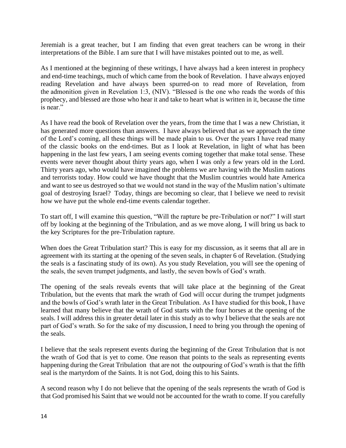Jeremiah is a great teacher, but I am finding that even great teachers can be wrong in their interpretations of the Bible. I am sure that I will have mistakes pointed out to me, as well.

As I mentioned at the beginning of these writings, I have always had a keen interest in prophecy and end-time teachings, much of which came from the book of Revelation. I have always enjoyed reading Revelation and have always been spurred-on to read more of Revelation, from the admonition given in Revelation 1:3, (NIV). "Blessed is the one who reads the words of this prophecy, and blessed are those who hear it and take to heart what is written in it, because the time is near."

As I have read the book of Revelation over the years, from the time that I was a new Christian, it has generated more questions than answers. I have always believed that as we approach the time of the Lord's coming, all these things will be made plain to us. Over the years I have read many of the classic books on the end-times. But as I look at Revelation, in light of what has been happening in the last few years, I am seeing events coming together that make total sense. These events were never thought about thirty years ago, when I was only a few years old in the Lord. Thirty years ago, who would have imagined the problems we are having with the Muslim nations and terrorists today. How could we have thought that the Muslim countries would hate America and want to see us destroyed so that we would not stand in the way of the Muslim nation's ultimate goal of destroying Israel? Today, things are becoming so clear, that I believe we need to revisit how we have put the whole end-time events calendar together.

To start off, I will examine this question, "Will the rapture be pre-Tribulation or not?" I will start off by looking at the beginning of the Tribulation, and as we move along, I will bring us back to the key Scriptures for the pre-Tribulation rapture.

When does the Great Tribulation start? This is easy for my discussion, as it seems that all are in agreement with its starting at the opening of the seven seals, in chapter 6 of Revelation. (Studying the seals is a fascinating study of its own). As you study Revelation, you will see the opening of the seals, the seven trumpet judgments, and lastly, the seven bowls of God's wrath.

The opening of the seals reveals events that will take place at the beginning of the Great Tribulation, but the events that mark the wrath of God will occur during the trumpet judgments and the bowls of God's wrath later in the Great Tribulation. As I have studied for this book, I have learned that many believe that the wrath of God starts with the four horses at the opening of the seals. I will address this in greater detail later in this study as to why I believe that the seals are not part of God's wrath. So for the sake of my discussion, I need to bring you through the opening of the seals.

I believe that the seals represent events during the beginning of the Great Tribulation that is not the wrath of God that is yet to come. One reason that points to the seals as representing events happening during the Great Tribulation that are not the outpouring of God's wrath is that the fifth seal is the martyrdom of the Saints. It is not God, doing this to his Saints.

A second reason why I do not believe that the opening of the seals represents the wrath of God is that God promised his Saint that we would not be accounted for the wrath to come. If you carefully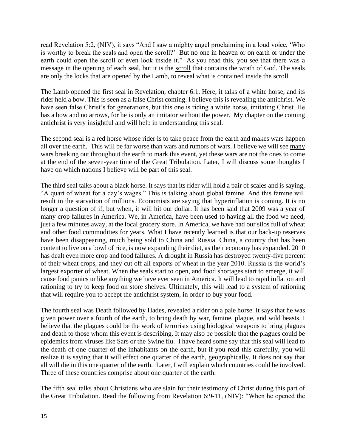read Revelation 5:2, (NIV), it says "And I saw a mighty angel proclaiming in a loud voice, 'Who is worthy to break the seals and open the scroll?' But no one in heaven or on earth or under the earth could open the scroll or even look inside it." As you read this, you see that there was a message in the opening of each seal, but it is the scroll that contains the wrath of God. The seals are only the locks that are opened by the Lamb, to reveal what is contained inside the scroll.

The Lamb opened the first seal in Revelation, chapter 6:1. Here, it talks of a white horse, and its rider held a bow. This is seen as a false Christ coming. I believe this is revealing the antichrist. We have seen false Christ's for generations, but this one is riding a white horse, imitating Christ. He has a bow and no arrows, for he is only an imitator without the power. My chapter on the coming antichrist is very insightful and will help in understanding this seal.

The second seal is a red horse whose rider is to take peace from the earth and makes wars happen all over the earth. This will be far worse than wars and rumors of wars. I believe we will see many wars breaking out throughout the earth to mark this event, yet these wars are not the ones to come at the end of the seven-year time of the Great Tribulation. Later, I will discuss some thoughts I have on which nations I believe will be part of this seal.

The third seal talks about a black horse. It says that its rider will hold a pair of scales and is saying, "A quart of wheat for a day's wages." This is talking about global famine. And this famine will result in the starvation of millions. Economists are saying that hyperinflation is coming. It is no longer a question of if, but when, it will hit our dollar. It has been said that 2009 was a year of many crop failures in America. We, in America, have been used to having all the food we need, just a few minutes away, at the local grocery store. In America, we have had our silos full of wheat and other food commodities for years. What I have recently learned is that our back-up reserves have been disappearing, much being sold to China and Russia. China, a country that has been content to live on a bowl of rice, is now expanding their diet, as their economy has expanded. 2010 has dealt even more crop and food failures. A drought in Russia has destroyed twenty-five percent of their wheat crops, and they cut off all exports of wheat in the year 2010. Russia is the world's largest exporter of wheat. When the seals start to open, and food shortages start to emerge, it will cause food panics unlike anything we have ever seen in America. It will lead to rapid inflation and rationing to try to keep food on store shelves. Ultimately, this will lead to a system of rationing that will require you to accept the antichrist system, in order to buy your food.

The fourth seal was Death followed by Hades, revealed a rider on a pale horse. It says that he was given power over a fourth of the earth, to bring death by war, famine, plague, and wild beasts. I believe that the plagues could be the work of terrorists using biological weapons to bring plagues and death to those whom this event is describing. It may also be possible that the plagues could be epidemics from viruses like Sars or the Swine flu. I have heard some say that this seal will lead to the death of one quarter of the inhabitants on the earth, but if you read this carefully, you will realize it is saying that it will effect one quarter of the earth, geographically. It does not say that all will die in this one quarter of the earth. Later, I will explain which countries could be involved. Three of these countries comprise about one quarter of the earth.

The fifth seal talks about Christians who are slain for their testimony of Christ during this part of the Great Tribulation. Read the following from Revelation 6:9-11, (NIV): "When he opened the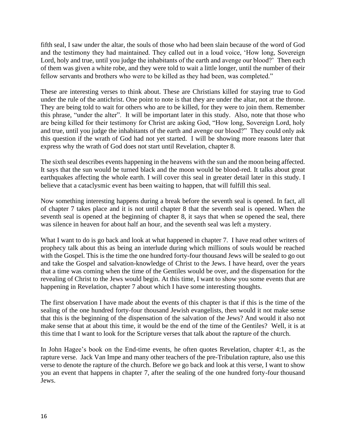fifth seal, I saw under the altar, the souls of those who had been slain because of the word of God and the testimony they had maintained. They called out in a loud voice, 'How long, Sovereign Lord, holy and true, until you judge the inhabitants of the earth and avenge our blood?' Then each of them was given a white robe, and they were told to wait a little longer, until the number of their fellow servants and brothers who were to be killed as they had been, was completed."

These are interesting verses to think about. These are Christians killed for staying true to God under the rule of the antichrist. One point to note is that they are under the altar, not at the throne. They are being told to wait for others who are to be killed, for they were to join them. Remember this phrase, "under the alter". It will be important later in this study. Also, note that those who are being killed for their testimony for Christ are asking God, "How long, Sovereign Lord, holy and true, until you judge the inhabitants of the earth and avenge our blood?" They could only ask this question if the wrath of God had not yet started. I will be showing more reasons later that express why the wrath of God does not start until Revelation, chapter 8.

The sixth seal describes events happening in the heavens with the sun and the moon being affected. It says that the sun would be turned black and the moon would be blood-red. It talks about great earthquakes affecting the whole earth. I will cover this seal in greater detail later in this study. I believe that a cataclysmic event has been waiting to happen, that will fulfill this seal.

Now something interesting happens during a break before the seventh seal is opened. In fact, all of chapter 7 takes place and it is not until chapter 8 that the seventh seal is opened. When the seventh seal is opened at the beginning of chapter 8, it says that when se opened the seal, there was silence in heaven for about half an hour, and the seventh seal was left a mystery.

What I want to do is go back and look at what happened in chapter 7. I have read other writers of prophecy talk about this as being an interlude during which millions of souls would be reached with the Gospel. This is the time the one hundred forty-four thousand Jews will be sealed to go out and take the Gospel and salvation-knowledge of Christ to the Jews. I have heard, over the years that a time was coming when the time of the Gentiles would be over, and the dispensation for the revealing of Christ to the Jews would begin. At this time, I want to show you some events that are happening in Revelation, chapter 7 about which I have some interesting thoughts.

The first observation I have made about the events of this chapter is that if this is the time of the sealing of the one hundred forty-four thousand Jewish evangelists, then would it not make sense that this is the beginning of the dispensation of the salvation of the Jews? And would it also not make sense that at about this time, it would be the end of the time of the Gentiles? Well, it is at this time that I want to look for the Scripture verses that talk about the rapture of the church.

In John Hagee's book on the End-time events, he often quotes Revelation, chapter 4:1, as the rapture verse. Jack Van Impe and many other teachers of the pre-Tribulation rapture, also use this verse to denote the rapture of the church. Before we go back and look at this verse, I want to show you an event that happens in chapter 7, after the sealing of the one hundred forty-four thousand Jews.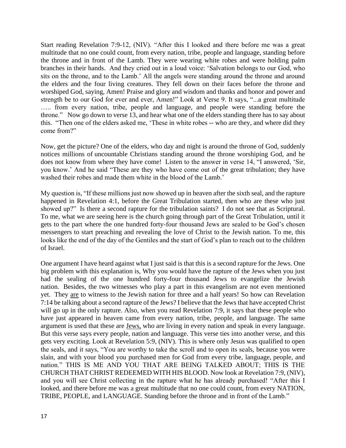Start reading Revelation 7:9-12, (NIV). "After this I looked and there before me was a great multitude that no one could count, from every nation, tribe, people and language, standing before the throne and in front of the Lamb. They were wearing white robes and were holding palm branches in their hands. And they cried out in a loud voice: 'Salvation belongs to our God, who sits on the throne, and to the Lamb.' All the angels were standing around the throne and around the elders and the four living creatures. They fell down on their faces before the throne and worshiped God, saying, Amen! Praise and glory and wisdom and thanks and honor and power and strength be to our God for ever and ever, Amen!" Look at Verse 9. It says, "...a great multitude ….. from every nation, tribe, people and language, and people were standing before the throne." Now go down to verse 13, and hear what one of the elders standing there has to say about this. "Then one of the elders asked me, 'These in white robes -- who are they, and where did they come from?"

Now, get the picture? One of the elders, who day and night is around the throne of God, suddenly notices millions of uncountable Christians standing around the throne worshiping God, and he does not know from where they have come! Listen to the answer in verse 14, "I answered, 'Sir, you know.' And he said "These are they who have come out of the great tribulation; they have washed their robes and made them white in the blood of the Lamb.'

My question is, "If these millions just now showed up in heaven after the sixth seal, and the rapture happened in Revelation 4:1, before the Great Tribulation started, then who are these who just showed up?" Is there a second rapture for the tribulation saints? I do not see that as Scriptural. To me, what we are seeing here is the church going through part of the Great Tribulation, until it gets to the part where the one hundred forty-four thousand Jews are sealed to be God's chosen messengers to start preaching and revealing the love of Christ to the Jewish nation. To me, this looks like the end of the day of the Gentiles and the start of God's plan to reach out to the children of Israel.

One argument I have heard against what I just said is that this is a second rapture for the Jews. One big problem with this explanation is, Why you would have the rapture of the Jews when you just had the sealing of the one hundred forty-four thousand Jews to evangelize the Jewish nation. Besides, the two witnesses who play a part in this evangelism are not even mentioned yet. They are to witness to the Jewish nation for three and a half years! So how can Revelation 7:14 be talking about a second rapture of the Jews? I believe that the Jews that have accepted Christ will go up in the only rapture. Also, when you read Revelation 7:9, it says that these people who have just appeared in heaven came from every nation, tribe, people, and language. The same argument is used that these are Jews, who are living in every nation and speak in every language. But this verse says every people, nation and language. This verse ties into another verse, and this gets very exciting. Look at Revelation 5:9, (NIV). This is where only Jesus was qualified to open the seals, and it says, "You are worthy to take the scroll and to open its seals, because you were slain, and with your blood you purchased men for God from every tribe, language, people, and nation." THIS IS ME AND YOU THAT ARE BEING TALKED ABOUT; THIS IS THE CHURCH THAT CHRIST REDEEMED WITH HIS BLOOD. Now look at Revelation 7:9, (NIV), and you will see Christ collecting in the rapture what he has already purchased! "After this I looked, and there before me was a great multitude that no one could count, from every NATION, TRIBE, PEOPLE, and LANGUAGE. Standing before the throne and in front of the Lamb."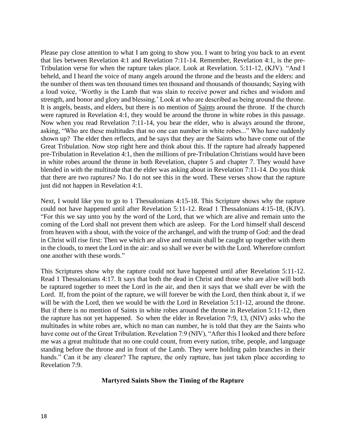Please pay close attention to what I am going to show you. I want to bring you back to an event that lies between Revelation 4:1 and Revelation 7:11-14. Remember, Revelation 4:1, is the pre-Tribulation verse for when the rapture takes place. Look at Revelation. 5:11-12, (KJV). "And I beheld, and I heard the voice of many angels around the throne and the beasts and the elders: and the number of them was ten thousand times ten thousand and thousands of thousands; Saying with a loud voice, 'Worthy is the Lamb that was slain to receive power and riches and wisdom and strength, and honor and glory and blessing.' Look at who are described as being around the throne. It is angels, beasts, and elders, but there is no mention of Saints around the throne. If the church were raptured in Revelation 4:1, they would be around the throne in white robes in this passage. Now when you read Revelation 7:11-14, you hear the elder, who is always around the throne, asking, "Who are these multitudes that no one can number in white robes..." Who have suddenly shown up? The elder then reflects, and he says that they are the Saints who have come out of the Great Tribulation. Now stop right here and think about this. If the rapture had already happened pre-Tribulation in Revelation 4:1, then the millions of pre-Tribulation Christians would have been in white robes around the throne in both Revelation, chapter 5 and chapter 7. They would have blended in with the multitude that the elder was asking about in Revelation 7:11-14. Do you think that there are two raptures? No. I do not see this in the word. These verses show that the rapture just did not happen in Revelation 4:1.

Next, I would like you to go to 1 Thessalonians 4:15-18. This Scripture shows why the rapture could not have happened until after Revelation 5:11-12. Read 1 Thessalonians 4:15-18, (KJV). "For this we say unto you by the word of the Lord, that we which are alive and remain unto the coming of the Lord shall not prevent them which are asleep. For the Lord himself shall descend from heaven with a shout, with the voice of the archangel, and with the trump of God: and the dead in Christ will rise first: Then we which are alive and remain shall be caught up together with them in the clouds, to meet the Lord in the air: and so shall we ever be with the Lord. Wherefore comfort one another with these words."

This Scriptures show why the rapture could not have happened until after Revelation 5:11-12. Read 1 Thessalonians 4:17. It says that both the dead in Christ and those who are alive will both be raptured together to meet the Lord in the air, and then it says that we shall ever be with the Lord. If, from the point of the rapture, we will forever be with the Lord, then think about it, if we will be with the Lord, then we would be with the Lord in Revelation 5:11-12, around the throne. But if there is no mention of Saints in white robes around the throne in Revelation 5:11-12, then the rapture has not yet happened. So when the elder in Revelation 7:9, 13, (NIV) asks who the multitudes in white robes are, which no man can number, he is told that they are the Saints who have come out of the Great Tribulation. Revelation 7:9 (NIV), "After this I looked and there before me was a great multitude that no one could count, from every nation, tribe, people, and language standing before the throne and in front of the Lamb. They were holding palm branches in their hands." Can it be any clearer? The rapture, the only rapture, has just taken place according to Revelation 7:9.

#### **Martyred Saints Show the Timing of the Rapture**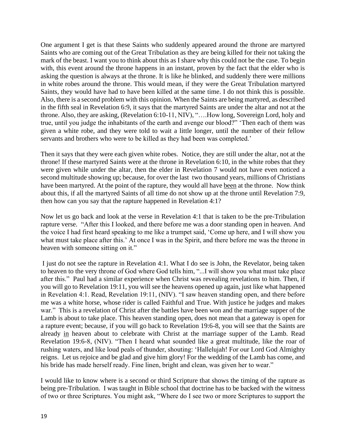One argument I get is that these Saints who suddenly appeared around the throne are martyred Saints who are coming out of the Great Tribulation as they are being killed for their not taking the mark of the beast. I want you to think about this as I share why this could not be the case. To begin with, this event around the throne happens in an instant, proven by the fact that the elder who is asking the question is always at the throne. It is like he blinked, and suddenly there were millions in white robes around the throne. This would mean, if they were the Great Tribulation martyred Saints, they would have had to have been killed at the same time. I do not think this is possible. Also, there is a second problem with this opinion. When the Saints are being martyred, as described in the fifth seal in Revelation 6:9, it says that the martyred Saints are under the altar and not at the throne. Also, they are asking, (Revelation 6:10-11, NIV), "….How long, Sovereign Lord, holy and true, until you judge the inhabitants of the earth and avenge our blood?" 'Then each of them was given a white robe, and they were told to wait a little longer, until the number of their fellow servants and brothers who were to be killed as they had been was completed.'

Then it says that they were each given white robes. Notice, they are still under the altar, not at the throne! If these martyred Saints were at the throne in Revelation 6:10, in the white robes that they were given while under the altar, then the elder in Revelation 7 would not have even noticed a second multitude showing up; because, for over the last two thousand years, millions of Christians have been martyred. At the point of the rapture, they would all have been at the throne. Now think about this, if all the martyred Saints of all time do not show up at the throne until Revelation 7:9, then how can you say that the rapture happened in Revelation 4:1?

Now let us go back and look at the verse in Revelation 4:1 that is taken to be the pre-Tribulation rapture verse. "After this I looked, and there before me was a door standing open in heaven. And the voice I had first heard speaking to me like a trumpet said, 'Come up here, and I will show you what must take place after this.' At once I was in the Spirit, and there before me was the throne in heaven with someone sitting on it."

I just do not see the rapture in Revelation 4:1. What I do see is John, the Revelator, being taken to heaven to the very throne of God where God tells him, "...I will show you what must take place after this." Paul had a similar experience when Christ was revealing revelations to him. Then, if you will go to Revelation 19:11, you will see the heavens opened up again, just like what happened in Revelation 4:1. Read, Revelation 19:11, (NIV). "I saw heaven standing open, and there before me was a white horse, whose rider is called Faithful and True. With justice he judges and makes war." This is a revelation of Christ after the battles have been won and the marriage supper of the Lamb is about to take place. This heaven standing open, does not mean that a gateway is open for a rapture event; because, if you will go back to Revelation 19:6-8, you will see that the Saints are already in heaven about to celebrate with Christ at the marriage supper of the Lamb. Read Revelation 19:6-8, (NIV). "Then I heard what sounded like a great multitude, like the roar of rushing waters, and like loud peals of thunder, shouting: 'Hallelujah! For our Lord God Almighty reigns. Let us rejoice and be glad and give him glory! For the wedding of the Lamb has come, and his bride has made herself ready. Fine linen, bright and clean, was given her to wear."

I would like to know where is a second or third Scripture that shows the timing of the rapture as being pre-Tribulation. I was taught in Bible school that doctrine has to be backed with the witness of two or three Scriptures. You might ask, "Where do I see two or more Scriptures to support the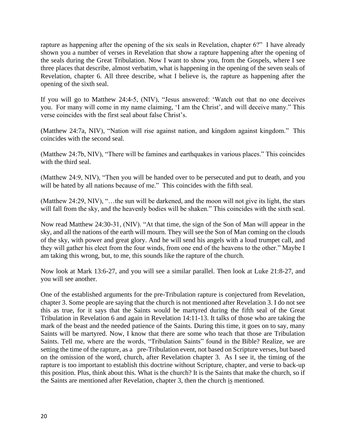rapture as happening after the opening of the six seals in Revelation, chapter 6?" I have already shown you a number of verses in Revelation that show a rapture happening after the opening of the seals during the Great Tribulation. Now I want to show you, from the Gospels, where I see three places that describe, almost verbatim, what is happening in the opening of the seven seals of Revelation, chapter 6. All three describe, what I believe is, the rapture as happening after the opening of the sixth seal.

If you will go to Matthew 24:4-5, (NIV), "Jesus answered: 'Watch out that no one deceives you. For many will come in my name claiming, 'I am the Christ', and will deceive many." This verse coincides with the first seal about false Christ's.

(Matthew 24:7a, NIV), "Nation will rise against nation, and kingdom against kingdom." This coincides with the second seal.

(Matthew 24:7b, NIV), "There will be famines and earthquakes in various places." This coincides with the third seal.

(Matthew 24:9, NIV), "Then you will be handed over to be persecuted and put to death, and you will be hated by all nations because of me." This coincides with the fifth seal.

(Matthew 24:29, NIV), "…the sun will be darkened, and the moon will not give its light, the stars will fall from the sky, and the heavenly bodies will be shaken." This coincides with the sixth seal.

Now read Matthew 24:30-31, (NIV). "At that time, the sign of the Son of Man will appear in the sky, and all the nations of the earth will mourn. They will see the Son of Man coming on the clouds of the sky, with power and great glory. And he will send his angels with a loud trumpet call, and they will gather his elect from the four winds, from one end of the heavens to the other." Maybe I am taking this wrong, but, to me, this sounds like the rapture of the church.

Now look at Mark 13:6-27, and you will see a similar parallel. Then look at Luke 21:8-27, and you will see another.

One of the established arguments for the pre-Tribulation rapture is conjectured from Revelation, chapter 3. Some people are saying that the church is not mentioned after Revelation 3. I do not see this as true, for it says that the Saints would be martyred during the fifth seal of the Great Tribulation in Revelation 6 and again in Revelation 14:11-13. It talks of those who are taking the mark of the beast and the needed patience of the Saints. During this time, it goes on to say, many Saints will be martyred. Now, I know that there are some who teach that those are Tribulation Saints. Tell me, where are the words, "Tribulation Saints" found in the Bible? Realize, we are setting the time of the rapture, as a pre-Tribulation event, not based on Scripture verses, but based on the omission of the word, church, after Revelation chapter 3. As I see it, the timing of the rapture is too important to establish this doctrine without Scripture, chapter, and verse to back-up this position. Plus, think about this. What is the church? It is the Saints that make the church, so if the Saints are mentioned after Revelation, chapter 3, then the church is mentioned.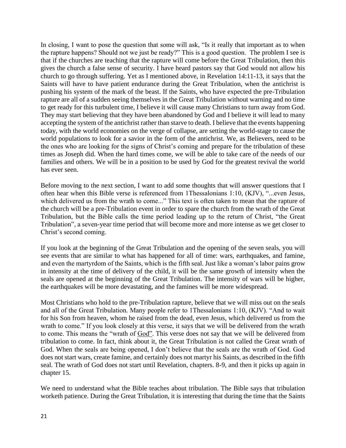In closing, I want to pose the question that some will ask, "Is it really that important as to when the rapture happens? Should not we just be ready?" This is a good question. The problem I see is that if the churches are teaching that the rapture will come before the Great Tribulation, then this gives the church a false sense of security. I have heard pastors say that God would not allow his church to go through suffering. Yet as I mentioned above, in Revelation 14:11-13, it says that the Saints will have to have patient endurance during the Great Tribulation, when the antichrist is pushing his system of the mark of the beast. If the Saints, who have expected the pre-Tribulation rapture are all of a sudden seeing themselves in the Great Tribulation without warning and no time to get ready for this turbulent time, I believe it will cause many Christians to turn away from God. They may start believing that they have been abandoned by God and I believe it will lead to many accepting the system of the antichrist rather than starve to death. I believe that the events happening today, with the world economies on the verge of collapse, are setting the world-stage to cause the world populations to look for a savior in the form of the antichrist. We, as Believers, need to be the ones who are looking for the signs of Christ's coming and prepare for the tribulation of these times as Joseph did. When the hard times come, we will be able to take care of the needs of our families and others. We will be in a position to be used by God for the greatest revival the world has ever seen.

Before moving to the next section, I want to add some thoughts that will answer questions that I often hear when this Bible verse is referenced from 1Thessalonians 1:10, (KJV), "...even Jesus, which delivered us from the wrath to come..." This text is often taken to mean that the rapture of the church will be a pre-Tribulation event in order to spare the church from the wrath of the Great Tribulation, but the Bible calls the time period leading up to the return of Christ, "the Great Tribulation", a seven-year time period that will become more and more intense as we get closer to Christ's second coming.

If you look at the beginning of the Great Tribulation and the opening of the seven seals, you will see events that are similar to what has happened for all of time: wars, earthquakes, and famine, and even the martyrdom of the Saints, which is the fifth seal. Just like a woman's labor pains grow in intensity at the time of delivery of the child, it will be the same growth of intensity when the seals are opened at the beginning of the Great Tribulation. The intensity of wars will be higher, the earthquakes will be more devastating, and the famines will be more widespread.

Most Christians who hold to the pre-Tribulation rapture, believe that we will miss out on the seals and all of the Great Tribulation. Many people refer to 1Thessalonians 1:10, (KJV). "And to wait for his Son from heaven, whom he raised from the dead, even Jesus, which delivered us from the wrath to come." If you look closely at this verse, it says that we will be delivered from the wrath to come. This means the "wrath of God". This verse does not say that we will be delivered from tribulation to come. In fact, think about it, the Great Tribulation is not called the Great wrath of God. When the seals are being opened, I don't believe that the seals are the wrath of God. God does not start wars, create famine, and certainly does not martyr his Saints, as described in the fifth seal. The wrath of God does not start until Revelation, chapters. 8-9, and then it picks up again in chapter 15.

We need to understand what the Bible teaches about tribulation. The Bible says that tribulation worketh patience. During the Great Tribulation, it is interesting that during the time that the Saints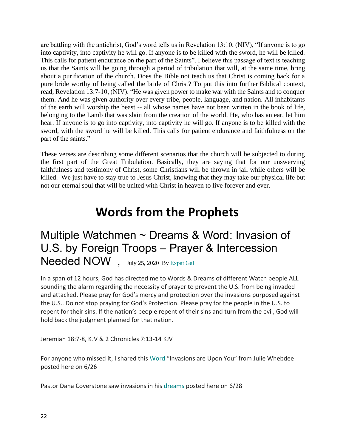are battling with the antichrist, God's word tells us in Revelation 13:10, (NIV), "If anyone is to go into captivity, into captivity he will go. If anyone is to be killed with the sword, he will be killed. This calls for patient endurance on the part of the Saints". I believe this passage of text is teaching us that the Saints will be going through a period of tribulation that will, at the same time, bring about a purification of the church. Does the Bible not teach us that Christ is coming back for a pure bride worthy of being called the bride of Christ? To put this into further Biblical context, read, Revelation 13:7-10, (NIV). "He was given power to make war with the Saints and to conquer them. And he was given authority over every tribe, people, language, and nation. All inhabitants of the earth will worship the beast -- all whose names have not been written in the book of life, belonging to the Lamb that was slain from the creation of the world. He, who has an ear, let him hear. If anyone is to go into captivity, into captivity he will go. If anyone is to be killed with the sword, with the sword he will be killed. This calls for patient endurance and faithfulness on the part of the saints."

These verses are describing some different scenarios that the church will be subjected to during the first part of the Great Tribulation. Basically, they are saying that for our unswerving faithfulness and testimony of Christ, some Christians will be thrown in jail while others will be killed. We just have to stay true to Jesus Christ, knowing that they may take our physical life but not our eternal soul that will be united with Christ in heaven to live forever and ever.

## **Words from the Prophets**

## Multiple Watchmen ~ Dreams & Word: Invasion of U.S. by Foreign Troops – Prayer & Intercession Needed NOW , July 25, 2020 By [Expat Gal](https://z3news.com/w/author/expat-gal/)

In a span of 12 hours, God has directed me to Words & Dreams of different Watch people ALL sounding the alarm regarding the necessity of prayer to prevent the U.S. from being invaded and attacked. Please pray for God's mercy and protection over the invasions purposed against the U.S.. Do not stop praying for God's Protection. Please pray for the people in the U.S. to repent for their sins. If the nation's people repent of their sins and turn from the evil, God will hold back the judgment planned for that nation.

Jeremiah 18:7-8, KJV & 2 Chronicles 7:13-14 KJV

For anyone who missed it, I shared this [Word](https://z3news.com/w/invasions-word-julie-whedbee/) "Invasions are Upon You" from Julie Whebdee posted here on 6/26

Pastor Dana Coverstone saw invasions in his [dreams](https://z3news.com/w/brace-warning-sept-nov-major-chaos-foreign-troops-hyperinflation/) posted here on 6/28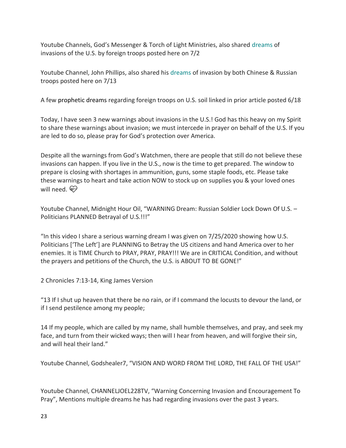Youtube Channels, God's Messenger & Torch of Light Ministries, also shared [dreams](https://z3news.com/w/messages-invasion-war-allies-split-orleans-pacific-northwest/) of invasions of the U.S. by foreign troops posted here on 7/2

Youtube Channel, John Phillips, also shared his [dreams](https://z3news.com/w/prophetic-dreams-comforts-removed-listen-holy-spirit-rely-human-understanding-russian-invasion-john-phillips/) of invasion by both Chinese & Russian troops posted here on 7/13

A few [prophetic dreams](https://thecommonsenseshow.com/agenda-21-conspiracy-economics/prophetic-dreams-and-matching-eyewitness-accounts-foretell-imminent-chinese-led-red-dawn-invasion) regarding foreign troops on U.S. soil linked in prior article posted 6/18

Today, I have seen 3 new warnings about invasions in the U.S.! God has this heavy on my Spirit to share these warnings about invasion; we must intercede in prayer on behalf of the U.S. If you are led to do so, please pray for God's protection over America.

Despite all the warnings from God's Watchmen, there are people that still do not believe these invasions can happen. If you live in the U.S., now is the time to get prepared. The window to prepare is closing with shortages in ammunition, guns, some staple foods, etc. Please take these warnings to heart and take action NOW to stock up on supplies you & your loved ones will need.  $\bigoplus$ 

Youtube Channel, Midnight Hour Oil, "WARNING Dream: Russian Soldier Lock Down Of U.S. – Politicians PLANNED Betrayal of U.S.!!!"

"In this video I share a serious warning dream I was given on 7/25/2020 showing how U.S. Politicians ['The Left'] are PLANNING to Betray the US citizens and hand America over to her enemies. It is TIME Church to PRAY, PRAY, PRAY!!! We are in CRITICAL Condition, and without the prayers and petitions of the Church, the U.S. is ABOUT TO BE GONE!"

2 Chronicles 7:13-14, King James Version

"13 If I shut up heaven that there be no rain, or if I command the locusts to devour the land, or if I send pestilence among my people;

14 If my people, which are called by my name, shall humble themselves, and pray, and seek my face, and turn from their wicked ways; then will I hear from heaven, and will forgive their sin, and will heal their land."

Youtube Channel, Godshealer7, "VISION AND WORD FROM THE LORD, THE FALL OF THE USA!"

Youtube Channel, CHANNELJOEL228TV, "Warning Concerning Invasion and Encouragement To Pray", Mentions multiple dreams he has had regarding invasions over the past 3 years.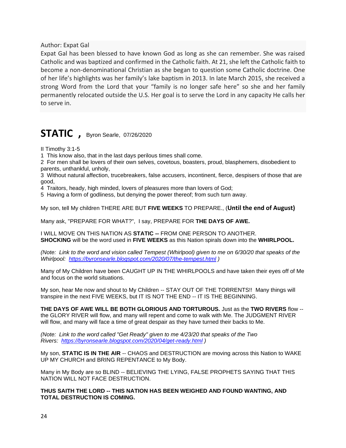Author: Expat Gal

Expat Gal has been blessed to have known God as long as she can remember. She was raised Catholic and was baptized and confirmed in the Catholic faith. At 21, she left the Catholic faith to become a non-denominational Christian as she began to question some Catholic doctrine. One of her life's highlights was her family's lake baptism in 2013. In late March 2015, she received a strong Word from the Lord that your "family is no longer safe here" so she and her family permanently relocated outside the U.S. Her goal is to serve the Lord in any capacity He calls her to serve in.

### **STATIC ,** Byron Searle, 07/26/2020

II Timothy 3:1-5

1 This know also, that in the last days perilous times shall come.

2 For men shall be lovers of their own selves, covetous, boasters, proud, blasphemers, disobedient to parents, unthankful, unholy,

3 Without natural affection, trucebreakers, false accusers, incontinent, fierce, despisers of those that are good,

4 Traitors, heady, high minded, lovers of pleasures more than lovers of God;

5 Having a form of godliness, but denying the power thereof; from such turn away.

My son, tell My children THERE ARE BUT **FIVE WEEKS** TO PREPARE., (**Until the end of August)**

Many ask, "PREPARE FOR WHAT?", I say, PREPARE FOR **THE DAYS OF AWE.**

I WILL MOVE ON THIS NATION AS **STATIC --** FROM ONE PERSON TO ANOTHER. **SHOCKING** will be the word used in **FIVE WEEKS** as this Nation spirals down into the **WHIRLPOOL.**

*(Note: Link to the word and vision called Tempest (Whirlpool) given to me on 6/30/20 that speaks of the Whirlpool: <https://byronsearle.blogspot.com/2020/07/the-tempest.html> )*

Many of My Children have been CAUGHT UP IN THE WHIRLPOOLS and have taken their eyes off of Me and focus on the world situations.

My son, hear Me now and shout to My Children -- STAY OUT OF THE TORRENTS!! Many things will transpire in the next FIVE WEEKS, but IT IS NOT THE END -- IT IS THE BEGINNING.

**THE DAYS OF AWE WILL BE BOTH GLORIOUS AND TORTUROUS.** Just as the **TWO RIVERS** flow - the GLORY RIVER will flow, and many will repent and come to walk with Me. The JUDGMENT RIVER will flow, and many will face a time of great despair as they have turned their backs to Me.

*(Note: Link to the word called "Get Ready" given to me 4/23/20 that speaks of the Two Rivers: <https://byronsearle.blogspot.com/2020/04/get-ready.html> )*

My son, **STATIC IS IN THE AIR** -- CHAOS and DESTRUCTION are moving across this Nation to WAKE UP MY CHURCH and BRING REPENTANCE to My Body.

Many in My Body are so BLIND -- BELIEVING THE LYING, FALSE PROPHETS SAYING THAT THIS NATION WILL NOT FACE DESTRUCTION.

**THUS SAITH THE LORD -- THIS NATION HAS BEEN WEIGHED AND FOUND WANTING, AND TOTAL DESTRUCTION IS COMING.**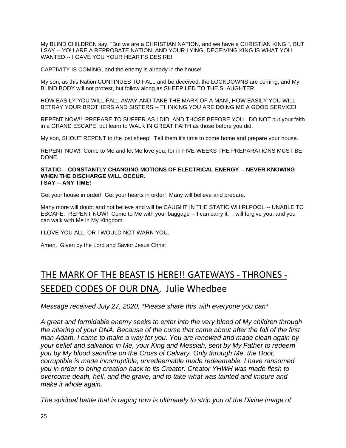My BLIND CHILDREN say, "But we are a CHRISTIAN NATION, and we have a CHRISTIAN KING!", BUT I SAY -- YOU ARE A REPROBATE NATION, AND YOUR LYING, DECEIVING KING IS WHAT YOU WANTED -- I GAVE YOU YOUR HEART'S DESIRE!

CAPTIVITY IS COMING, and the enemy is already in the house!

My son, as this Nation CONTINUES TO FALL and be deceived, the LOCKDOWNS are coming, and My BLIND BODY will not protest, but follow along as SHEEP LED TO THE SLAUGHTER.

HOW EASILY YOU WILL FALL AWAY AND TAKE THE MARK OF A MAN!, HOW EASILY YOU WILL BETRAY YOUR BROTHERS AND SISTERS -- THINKING YOU ARE DOING ME A GOOD SERVICE!

REPENT NOW!! PREPARE TO SUFFER AS I DID, AND THOSE BEFORE YOU. DO NOT put your faith in a GRAND ESCAPE, but learn to WALK IN GREAT FAITH as those before you did.

My son, SHOUT REPENT to the lost sheep! Tell them it's time to come home and prepare your house.

REPENT NOW! Come to Me and let Me love you, for in FIVE WEEKS THE PREPARATIONS MUST BE DONE.

#### **STATIC -- CONSTANTLY CHANGING MOTIONS OF ELECTRICAL ENERGY -- NEVER KNOWING WHEN THE DISCHARGE WILL OCCUR. I SAY -- ANY TIME!**

Get your house in order! Get your hearts in order! Many will believe and prepare.

Many more will doubt and not believe and will be CAUGHT IN THE STATIC WHIRLPOOL -- UNABLE TO ESCAPE. REPENT NOW! Come to Me with your baggage -- I can carry it. I will forgive you, and you can walk with Me in My Kingdom.

I LOVE YOU ALL, OR I WOULD NOT WARN YOU.

Amen. Given by the Lord and Savior Jesus Christ

## [THE MARK OF THE BEAST IS HERE!! GATEWAYS -](https://iamcallingyounow.blogspot.com/2020/07/the-mark-of-beast-is-here-gateways.html) THRONES -[SEEDED CODES OF OUR DNA,](https://iamcallingyounow.blogspot.com/2020/07/the-mark-of-beast-is-here-gateways.html) Julie Whedbee

*Message received July 27, 2020, \*Please share this with everyone you can\**

*A great and formidable enemy seeks to enter into the very blood of My children through the altering of your DNA. Because of the curse that came about after the fall of the first man Adam, I came to make a way for you. You are renewed and made clean again by your belief and salvation in Me, your King and Messiah, sent by My Father to redeem you by My blood sacrifice on the Cross of Calvary. Only through Me, the Door, corruptible is made incorruptible, unredeemable made redeemable. I have ransomed you in order to bring creation back to its Creator. Creator YHWH was made flesh to overcome death, hell, and the grave, and to take what was tainted and impure and make it whole again.*

*The spiritual battle that is raging now is ultimately to strip you of the Divine image of*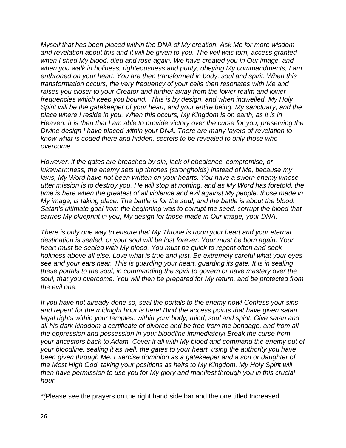*Myself that has been placed within the DNA of My creation. Ask Me for more wisdom and revelation about this and it will be given to you. The veil was torn, access granted when I shed My blood, died and rose again. We have created you in Our image, and when you walk in holiness, righteousness and purity, obeying My commandments, I am enthroned on your heart. You are then transformed in body, soul and spirit. When this transformation occurs, the very frequency of your cells then resonates with Me and raises you closer to your Creator and further away from the lower realm and lower frequencies which keep you bound. This is by design, and when indwelled, My Holy Spirit will be the gatekeeper of your heart, and your entire being, My sanctuary, and the place where I reside in you. When this occurs, My Kingdom is on earth, as it is in Heaven. It is then that I am able to provide victory over the curse for you, preserving the Divine design I have placed within your DNA. There are many layers of revelation to know what is coded there and hidden, secrets to be revealed to only those who overcome.*

*However, if the gates are breached by sin, lack of obedience, compromise, or lukewarmness, the enemy sets up thrones (strongholds) instead of Me, because my*  laws, My Word have not been written on your hearts. You have a sworn enemy whose *utter mission is to destroy you. He will stop at nothing, and as My Word has foretold, the time is here when the greatest of all violence and evil against My people, those made in My image, is taking place. The battle is for the soul, and the battle is about the blood. Satan's ultimate goal from the beginning was to corrupt the seed, corrupt the blood that carries My blueprint in you, My design for those made in Our image, your DNA.*

*There is only one way to ensure that My Throne is upon your heart and your eternal destination is sealed, or your soul will be lost forever. Your must be born again. Your heart must be sealed with My blood. You must be quick to repent often and seek holiness above all else. Love what is true and just. Be extremely careful what your eyes see and your ears hear. This is guarding your heart, guarding its gate. It is in sealing these portals to the soul, in commanding the spirit to govern or have mastery over the soul, that you overcome. You will then be prepared for My return, and be protected from the evil one.*

*If you have not already done so, seal the portals to the enemy now! Confess your sins and repent for the midnight hour is here! Bind the access points that have given satan legal rights within your temples, within your body, mind, soul and spirit. Give satan and all his dark kingdom a certificate of divorce and be free from the bondage, and from all the oppression and possession in your bloodline immediately! Break the curse from your ancestors back to Adam. Cover it all with My blood and command the enemy out of your bloodline, sealing it as well, the gates to your heart, using the authority you have been given through Me. Exercise dominion as a gatekeeper and a son or daughter of the Most High God, taking your positions as heirs to My Kingdom. My Holy Spirit will then have permission to use you for My glory and manifest through you in this crucial hour.*

*\*(*Please see the prayers on the right hand side bar and the one titled Increased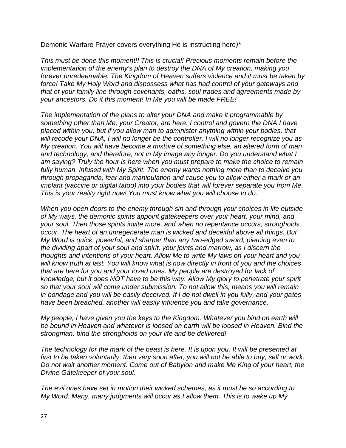Demonic Warfare Prayer covers everything He is instructing here*)\**

*This must be done this moment!! This is crucial! Precious moments remain before the implementation of the enemy's plan to destroy the DNA of My creation, making you forever unredeemable. The Kingdom of Heaven suffers violence and it must be taken by force! Take My Holy Word and dispossess what has had control of your gateways and that of your family line through covenants, oaths, soul trades and agreements made by your ancestors. Do it this moment! In Me you will be made FREE!*

*The implementation of the plans to alter your DNA and make it programmable by something other than Me, your Creator, are here. I control and govern the DNA I have placed within you, but if you allow man to administer anything within your bodies, that will recode your DNA, I will no longer be the controller. I will no longer recognize you as My creation. You will have become a mixture of something else, an altered form of man and technology, and therefore, not in My image any longer. Do you understand what I am saying? Truly the hour is here when you must prepare to make the choice to remain fully human, infused with My Spirit. The enemy wants nothing more than to deceive you through propaganda, fear and manipulation and cause you to allow either a mark or an implant (vaccine or digital tatoo) into your bodies that will forever separate you from Me. This is your reality right now! You must know what you will choose to do.*

*When you open doors to the enemy through sin and through your choices in life outside of My ways, the demonic spirits appoint gatekeepers over your heart, your mind, and your soul. Then those spirits invite more, and when no repentance occurs, strongholds occur. The heart of an unregenerate man is wicked and deceitful above all things. But My Word is quick, powerful, and sharper than any two-edged sword, piercing even to the dividing apart of your soul and spirit, your joints and marrow, as I discern the thoughts and intentions of your heart. Allow Me to write My laws on your heart and you will know truth at last. You will know what is now directly in front of you and the choices that are here for you and your loved ones. My people are destroyed for lack of knowledge, but it does NOT have to be this way. Allow My glory to penetrate your spirit so that your soul will come under submission. To not allow this, means you will remain in bondage and you will be easily deceived. If I do not dwell in you fully, and your gates have been breached, another will easily influence you and take governance.*

*My people, I have given you the keys to the Kingdom. Whatever you bind on earth will be bound in Heaven and whatever is loosed on earth will be loosed in Heaven. Bind the strongman, bind the strongholds on your life and be delivered!*

*The technology for the mark of the beast is here. It is upon you. It will be presented at first to be taken voluntarily, then very soon after, you will not be able to buy, sell or work. Do not wait another moment. Come out of Babylon and make Me King of your heart, the Divine Gatekeeper of your soul.*

*The evil ones have set in motion their wicked schemes, as it must be so according to My Word. Many, many judgments will occur as I allow them. This is to wake up My*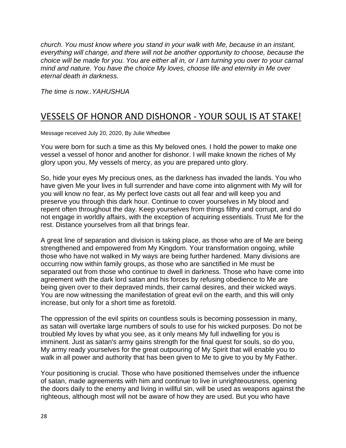*church. You must know where you stand in your walk with Me, because in an instant, everything will change, and there will not be another opportunity to choose, because the choice will be made for you. You are either all in, or I am turning you over to your carnal mind and nature. You have the choice My loves, choose life and eternity in Me over eternal death in darkness.*

*The time is now..YAHUSHUA*

### [VESSELS OF HONOR AND DISHONOR -](https://iamcallingyounow.blogspot.com/2020/07/vessels-of-honor-and-dishonor-your-soul.html) YOUR SOUL IS AT STAKE!

Message received July 20, 2020, By Julie Whedbee

You were born for such a time as this My beloved ones. I hold the power to make one vessel a vessel of honor and another for dishonor. I will make known the riches of My glory upon you, My vessels of mercy, as you are prepared unto glory.

So, hide your eyes My precious ones, as the darkness has invaded the lands. You who have given Me your lives in full surrender and have come into alignment with My will for you will know no fear, as My perfect love casts out all fear and will keep you and preserve you through this dark hour. Continue to cover yourselves in My blood and repent often throughout the day. Keep yourselves from things filthy and corrupt, and do not engage in worldly affairs, with the exception of acquiring essentials. Trust Me for the rest. Distance yourselves from all that brings fear.

A great line of separation and division is taking place, as those who are of Me are being strengthened and empowered from My Kingdom. Your transformation ongoing, while those who have not walked in My ways are being further hardened. Many divisions are occurring now within family groups, as those who are sanctified in Me must be separated out from those who continue to dwell in darkness. Those who have come into agreement with the dark lord satan and his forces by refusing obedience to Me are being given over to their depraved minds, their carnal desires, and their wicked ways. You are now witnessing the manifestation of great evil on the earth, and this will only increase, but only for a short time as foretold.

The oppression of the evil spirits on countless souls is becoming possession in many, as satan will overtake large numbers of souls to use for his wicked purposes. Do not be troubled My loves by what you see, as it only means My full indwelling for you is imminent. Just as satan's army gains strength for the final quest for souls, so do you, My army ready yourselves for the great outpouring of My Spirit that will enable you to walk in all power and authority that has been given to Me to give to you by My Father.

Your positioning is crucial. Those who have positioned themselves under the influence of satan, made agreements with him and continue to live in unrighteousness, opening the doors daily to the enemy and living in willful sin, will be used as weapons against the righteous, although most will not be aware of how they are used. But you who have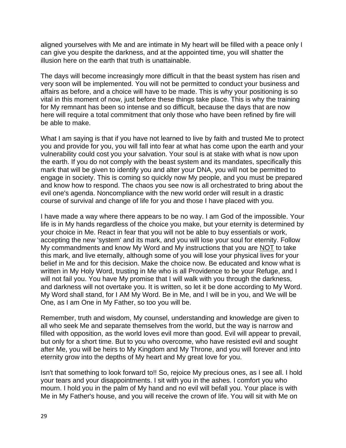aligned yourselves with Me and are intimate in My heart will be filled with a peace only I can give you despite the darkness, and at the appointed time, you will shatter the illusion here on the earth that truth is unattainable.

The days will become increasingly more difficult in that the beast system has risen and very soon will be implemented. You will not be permitted to conduct your business and affairs as before, and a choice will have to be made. This is why your positioning is so vital in this moment of now, just before these things take place. This is why the training for My remnant has been so intense and so difficult, because the days that are now here will require a total commitment that only those who have been refined by fire will be able to make.

What I am saying is that if you have not learned to live by faith and trusted Me to protect you and provide for you, you will fall into fear at what has come upon the earth and your vulnerability could cost you your salvation. Your soul is at stake with what is now upon the earth. If you do not comply with the beast system and its mandates, specifically this mark that will be given to identify you and alter your DNA, you will not be permitted to engage in society. This is coming so quickly now My people, and you must be prepared and know how to respond. The chaos you see now is all orchestrated to bring about the evil one's agenda. Noncompliance with the new world order will result in a drastic course of survival and change of life for you and those I have placed with you.

I have made a way where there appears to be no way. I am God of the impossible. Your life is in My hands regardless of the choice you make, but your eternity is determined by your choice in Me. React in fear that you will not be able to buy essentials or work, accepting the new 'system' and its mark, and you will lose your soul for eternity. Follow My commandments and know My Word and My instructions that you are NOT to take this mark, and live eternally, although some of you will lose your physical lives for your belief in Me and for this decision. Make the choice now. Be educated and know what is written in My Holy Word, trusting in Me who is all Providence to be your Refuge, and I will not fail you. You have My promise that I will walk with you through the darkness, and darkness will not overtake you. It is written, so let it be done according to My Word. My Word shall stand, for I AM My Word. Be in Me, and I will be in you, and We will be One, as I am One in My Father, so too you will be.

Remember, truth and wisdom, My counsel, understanding and knowledge are given to all who seek Me and separate themselves from the world, but the way is narrow and filled with opposition, as the world loves evil more than good. Evil will appear to prevail, but only for a short time. But to you who overcome, who have resisted evil and sought after Me, you will be heirs to My Kingdom and My Throne, and you will forever and into eternity grow into the depths of My heart and My great love for you.

Isn't that something to look forward to!! So, rejoice My precious ones, as I see all. I hold your tears and your disappointments. I sit with you in the ashes. I comfort you who mourn. I hold you in the palm of My hand and no evil will befall you. Your place is with Me in My Father's house, and you will receive the crown of life. You will sit with Me on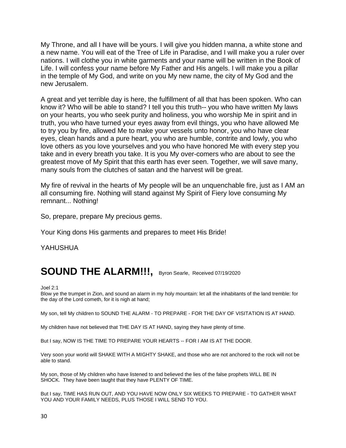My Throne, and all I have will be yours. I will give you hidden manna, a white stone and a new name. You will eat of the Tree of Life in Paradise, and I will make you a ruler over nations. I will clothe you in white garments and your name will be written in the Book of Life. I will confess your name before My Father and His angels. I will make you a pillar in the temple of My God, and write on you My new name, the city of My God and the new Jerusalem.

A great and yet terrible day is here, the fulfillment of all that has been spoken. Who can know it? Who will be able to stand? I tell you this truth-- you who have written My laws on your hearts, you who seek purity and holiness, you who worship Me in spirit and in truth, you who have turned your eyes away from evil things, you who have allowed Me to try you by fire, allowed Me to make your vessels unto honor, you who have clear eyes, clean hands and a pure heart, you who are humble, contrite and lowly, you who love others as you love yourselves and you who have honored Me with every step you take and in every breath you take. It is you My over-comers who are about to see the greatest move of My Spirit that this earth has ever seen. Together, we will save many, many souls from the clutches of satan and the harvest will be great.

My fire of revival in the hearts of My people will be an unquenchable fire, just as I AM an all consuming fire. Nothing will stand against My Spirit of Fiery love consuming My remnant... Nothing!

So, prepare, prepare My precious gems.

Your King dons His garments and prepares to meet His Bride!

YAHUSHUA

### **SOUND THE ALARM!!!,** Byron Searle, Received 07/19/2020

Joel 2:1

Blow ye the trumpet in Zion, and sound an alarm in my holy mountain: let all the inhabitants of the land tremble: for the day of the Lord cometh, for it is nigh at hand;

My son, tell My children to SOUND THE ALARM - TO PREPARE - FOR THE DAY OF VISITATION IS AT HAND.

My children have not believed that THE DAY IS AT HAND, saying they have plenty of time.

But I say, NOW IS THE TIME TO PREPARE YOUR HEARTS -- FOR I AM IS AT THE DOOR.

Very soon your world will SHAKE WITH A MIGHTY SHAKE, and those who are not anchored to the rock will not be able to stand.

My son, those of My children who have listened to and believed the lies of the false prophets WILL BE IN SHOCK. They have been taught that they have PLENTY OF TIME.

But I say, TIME HAS RUN OUT, AND YOU HAVE NOW ONLY SIX WEEKS TO PREPARE - TO GATHER WHAT YOU AND YOUR FAMILY NEEDS, PLUS THOSE I WILL SEND TO YOU.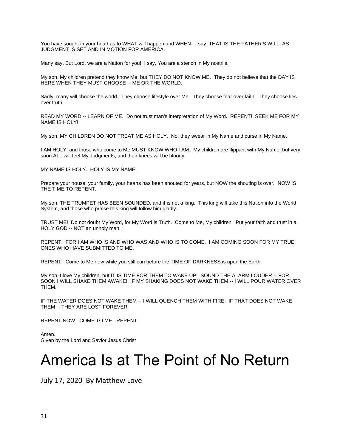You have sought in your heart as to WHAT will happen and WHEN. I say, THAT IS THE FATHER'S WILL, AS JUDGMENT IS SET AND IN MOTION FOR AMERICA.

Many say, But Lord, we are a Nation for you! I say, You are a stench in My nostrils.

My son, My children pretend they know Me, but THEY DO NOT KNOW ME. They do not believe that the DAY IS HERE WHEN THEY MUST CHOOSE -- ME OR THE WORLD.

Sadly, many will choose the world. They choose lifestyle over Me. They choose fear over faith. They choose lies over truth.

READ MY WORD -- LEARN OF ME. Do not trust man's interpretation of My Word. REPENT! SEEK ME FOR MY NAME IS HOLY!

My son, MY CHILDREN DO NOT TREAT ME AS HOLY. No, they swear in My Name and curse in My Name.

I AM HOLY, and those who come to Me MUST KNOW WHO I AM. My children are flippant with My Name, but very soon ALL will feel My Judgments, and their knees will be bloody.

MY NAME IS HOLY. HOLY IS MY NAME.

Prepare your house, your family, your hearts has been shouted for years, but NOW the shouting is over. NOW IS THE TIME TO REPENT.

My son, THE TRUMPET HAS BEEN SOUNDED, and it is not a king. This king will take this Nation into the World System, and those who praise this king will follow him gladly.

TRUST ME! Do not doubt My Word, for My Word is Truth. Come to Me, My children. Put your faith and trust in a HOLY GOD -- NOT an unholy man.

REPENT! FOR I AM WHO IS AND WHO WAS AND WHO IS TO COME. I AM COMING SOON FOR MY TRUE ONES WHO HAVE SUBMITTED TO ME.

REPENT! Come to Me now while you still can before the TIME OF DARKNESS is upon the Earth.

My son, I love My children, but IT IS TIME FOR THEM TO WAKE UP! SOUND THE ALARM LOUDER -- FOR SOON I WILL SHAKE THEM AWAKE! IF MY SHAKING DOES NOT WAKE THEM -- I WILL POUR WATER OVER THEM.

IF THE WATER DOES NOT WAKE THEM -- I WILL QUENCH THEM WITH FIRE. IF THAT DOES NOT WAKE THEM -- THEY ARE LOST FOREVER.

REPENT NOW. COME TO ME. REPENT.

Amen. Given by the Lord and Savior Jesus Christ

## America Is at The Point of No Return

July 17, 2020 By [Matthew Love](https://z3news.com/w/author/matthew-love/)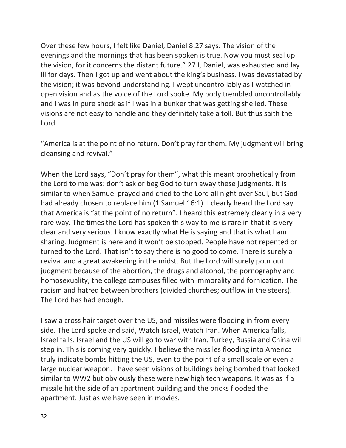Over these few hours, I felt like Daniel, Daniel 8:27 says: The vision of the evenings and the mornings that has been spoken is true. Now you must seal up the vision, for it concerns the distant future." 27 I, Daniel, was exhausted and lay ill for days. Then I got up and went about the king's business. I was devastated by the vision; it was beyond understanding. I wept uncontrollably as I watched in open vision and as the voice of the Lord spoke. My body trembled uncontrollably and I was in pure shock as if I was in a bunker that was getting shelled. These visions are not easy to handle and they definitely take a toll. But thus saith the Lord.

"America is at the point of no return. Don't pray for them. My judgment will bring cleansing and revival."

When the Lord says, "Don't pray for them", what this meant prophetically from the Lord to me was: don't ask or beg God to turn away these judgments. It is similar to when Samuel prayed and cried to the Lord all night over Saul, but God had already chosen to replace him (1 Samuel 16:1). I clearly heard the Lord say that America is "at the point of no return". I heard this extremely clearly in a very rare way. The times the Lord has spoken this way to me is rare in that it is very clear and very serious. I know exactly what He is saying and that is what I am sharing. Judgment is here and it won't be stopped. People have not repented or turned to the Lord. That isn't to say there is no good to come. There is surely a revival and a great awakening in the midst. But the Lord will surely pour out judgment because of the abortion, the drugs and alcohol, the pornography and homosexuality, the college campuses filled with immorality and fornication. The racism and hatred between brothers (divided churches; outflow in the steers). The Lord has had enough.

I saw a cross hair target over the US, and missiles were flooding in from every side. The Lord spoke and said, Watch Israel, Watch Iran. When America falls, Israel falls. Israel and the US will go to war with Iran. Turkey, Russia and China will step in. This is coming very quickly. I believe the missiles flooding into America truly indicate bombs hitting the US, even to the point of a small scale or even a large nuclear weapon. I have seen visions of buildings being bombed that looked similar to WW2 but obviously these were new high tech weapons. It was as if a missile hit the side of an apartment building and the bricks flooded the apartment. Just as we have seen in movies.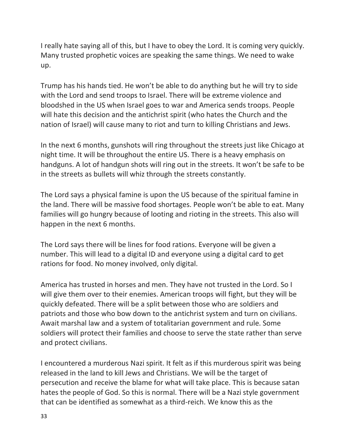I really hate saying all of this, but I have to obey the Lord. It is coming very quickly. Many trusted prophetic voices are speaking the same things. We need to wake up.

Trump has his hands tied. He won't be able to do anything but he will try to side with the Lord and send troops to Israel. There will be extreme violence and bloodshed in the US when Israel goes to war and America sends troops. People will hate this decision and the antichrist spirit (who hates the Church and the nation of Israel) will cause many to riot and turn to killing Christians and Jews.

In the next 6 months, gunshots will ring throughout the streets just like Chicago at night time. It will be throughout the entire US. There is a heavy emphasis on handguns. A lot of handgun shots will ring out in the streets. It won't be safe to be in the streets as bullets will whiz through the streets constantly.

The Lord says a physical famine is upon the US because of the spiritual famine in the land. There will be massive food shortages. People won't be able to eat. Many families will go hungry because of looting and rioting in the streets. This also will happen in the next 6 months.

The Lord says there will be lines for food rations. Everyone will be given a number. This will lead to a digital ID and everyone using a digital card to get rations for food. No money involved, only digital.

America has trusted in horses and men. They have not trusted in the Lord. So I will give them over to their enemies. American troops will fight, but they will be quickly defeated. There will be a split between those who are soldiers and patriots and those who bow down to the antichrist system and turn on civilians. Await marshal law and a system of totalitarian government and rule. Some soldiers will protect their families and choose to serve the state rather than serve and protect civilians.

I encountered a murderous Nazi spirit. It felt as if this murderous spirit was being released in the land to kill Jews and Christians. We will be the target of persecution and receive the blame for what will take place. This is because satan hates the people of God. So this is normal. There will be a Nazi style government that can be identified as somewhat as a third-reich. We know this as the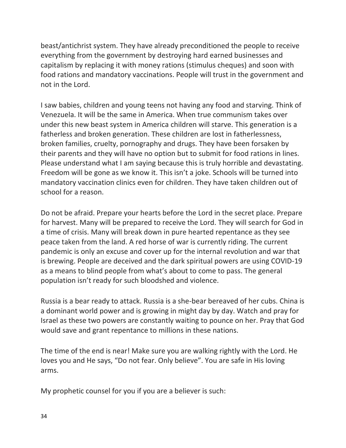beast/antichrist system. They have already preconditioned the people to receive everything from the government by destroying hard earned businesses and capitalism by replacing it with money rations (stimulus cheques) and soon with food rations and mandatory vaccinations. People will trust in the government and not in the Lord.

I saw babies, children and young teens not having any food and starving. Think of Venezuela. It will be the same in America. When true communism takes over under this new beast system in America children will starve. This generation is a fatherless and broken generation. These children are lost in fatherlessness, broken families, cruelty, pornography and drugs. They have been forsaken by their parents and they will have no option but to submit for food rations in lines. Please understand what I am saying because this is truly horrible and devastating. Freedom will be gone as we know it. This isn't a joke. Schools will be turned into mandatory vaccination clinics even for children. They have taken children out of school for a reason.

Do not be afraid. Prepare your hearts before the Lord in the secret place. Prepare for harvest. Many will be prepared to receive the Lord. They will search for God in a time of crisis. Many will break down in pure hearted repentance as they see peace taken from the land. A red horse of war is currently riding. The current pandemic is only an excuse and cover up for the internal revolution and war that is brewing. People are deceived and the dark spiritual powers are using COVID-19 as a means to blind people from what's about to come to pass. The general population isn't ready for such bloodshed and violence.

Russia is a bear ready to attack. Russia is a she-bear bereaved of her cubs. China is a dominant world power and is growing in might day by day. Watch and pray for Israel as these two powers are constantly waiting to pounce on her. Pray that God would save and grant repentance to millions in these nations.

The time of the end is near! Make sure you are walking rightly with the Lord. He loves you and He says, "Do not fear. Only believe". You are safe in His loving arms.

My prophetic counsel for you if you are a believer is such: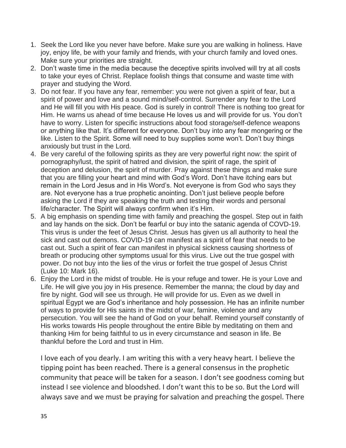- 1. Seek the Lord like you never have before. Make sure you are walking in holiness. Have joy, enjoy life, be with your family and friends, with your church family and loved ones. Make sure your priorities are straight.
- 2. Don't waste time in the media because the deceptive spirits involved will try at all costs to take your eyes of Christ. Replace foolish things that consume and waste time with prayer and studying the Word.
- 3. Do not fear. If you have any fear, remember: you were not given a spirit of fear, but a spirit of power and love and a sound mind/self-control. Surrender any fear to the Lord and He will fill you with His peace. God is surely in control! There is nothing too great for Him. He warns us ahead of time because He loves us and will provide for us. You don't have to worry. Listen for specific instructions about food storage/self-defence weapons or anything like that. It's different for everyone. Don't buy into any fear mongering or the like. Listen to the Spirit. Some will need to buy supplies some won't. Don't buy things anxiously but trust in the Lord.
- 4. Be very careful of the following spirits as they are very powerful right now: the spirit of pornography/lust, the spirit of hatred and division, the spirit of rage, the spirit of deception and delusion, the spirit of murder. Pray against these things and make sure that you are filling your heart and mind with God's Word. Don't have itching ears but remain in the Lord Jesus and in His Word's. Not everyone is from God who says they are. Not everyone has a true prophetic anointing. Don't just believe people before asking the Lord if they are speaking the truth and testing their words and personal life/character. The Spirit will always confirm when it's Him.
- 5. A big emphasis on spending time with family and preaching the gospel. Step out in faith and lay hands on the sick. Don't be fearful or buy into the satanic agenda of COVD-19. This virus is under the feet of Jesus Christ. Jesus has given us all authority to heal the sick and cast out demons. COVID-19 can manifest as a spirit of fear that needs to be cast out. Such a spirit of fear can manifest in physical sickness causing shortness of breath or producing other symptoms usual for this virus. Live out the true gospel with power. Do not buy into the lies of the virus or forfeit the true gospel of Jesus Christ (Luke 10: Mark 16).
- 6. Enjoy the Lord in the midst of trouble. He is your refuge and tower. He is your Love and Life. He will give you joy in His presence. Remember the manna; the cloud by day and fire by night. God will see us through. He will provide for us. Even as we dwell in spiritual Egypt we are God's inheritance and holy possession. He has an infinite number of ways to provide for His saints in the midst of war, famine, violence and any persecution. You will see the hand of God on your behalf. Remind yourself constantly of His works towards His people throughout the entire Bible by meditating on them and thanking Him for being faithful to us in every circumstance and season in life. Be thankful before the Lord and trust in Him.

I love each of you dearly. I am writing this with a very heavy heart. I believe the tipping point has been reached. There is a general consensus in the prophetic community that peace will be taken for a season. I don't see goodness coming but instead I see violence and bloodshed. I don't want this to be so. But the Lord will always save and we must be praying for salvation and preaching the gospel. There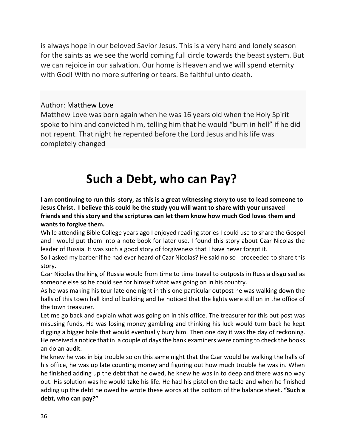is always hope in our beloved Savior Jesus. This is a very hard and lonely season for the saints as we see the world coming full circle towards the beast system. But we can rejoice in our salvation. Our home is Heaven and we will spend eternity with God! With no more suffering or tears. Be faithful unto death.

#### Author: [Matthew Love](https://matthewelijahlove.wixsite.com/mysite)

Matthew Love was born again when he was 16 years old when the Holy Spirit spoke to him and convicted him, telling him that he would "burn in hell" if he did not repent. That night he repented before the Lord Jesus and his life was completely changed

## **Such a Debt, who can Pay?**

**I am continuing to run this story, as this is a great witnessing story to use to lead someone to Jesus Christ. I believe this could be the study you will want to share with your unsaved friends and this story and the scriptures can let them know how much God loves them and wants to forgive them.**

While attending Bible College years ago I enjoyed reading stories I could use to share the Gospel and I would put them into a note book for later use. I found this story about Czar Nicolas the leader of Russia. It was such a good story of forgiveness that I have never forgot it.

So I asked my barber if he had ever heard of Czar Nicolas? He said no so I proceeded to share this story.

Czar Nicolas the king of Russia would from time to time travel to outposts in Russia disguised as someone else so he could see for himself what was going on in his country.

As he was making his tour late one night in this one particular outpost he was walking down the halls of this town hall kind of building and he noticed that the lights were still on in the office of the town treasurer.

Let me go back and explain what was going on in this office. The treasurer for this out post was misusing funds, He was losing money gambling and thinking his luck would turn back he kept digging a bigger hole that would eventually bury him. Then one day it was the day of reckoning. He received a notice that in a couple of days the bank examiners were coming to check the books an do an audit.

He knew he was in big trouble so on this same night that the Czar would be walking the halls of his office, he was up late counting money and figuring out how much trouble he was in. When he finished adding up the debt that he owed, he knew he was in to deep and there was no way out. His solution was he would take his life. He had his pistol on the table and when he finished adding up the debt he owed he wrote these words at the bottom of the balance sheet**. "Such a debt, who can pay?"**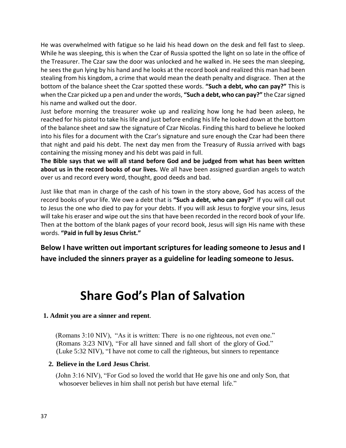He was overwhelmed with fatigue so he laid his head down on the desk and fell fast to sleep. While he was sleeping, this is when the Czar of Russia spotted the light on so late in the office of the Treasurer. The Czar saw the door was unlocked and he walked in. He sees the man sleeping, he sees the gun lying by his hand and he looks at the record book and realized this man had been stealing from his kingdom, a crime that would mean the death penalty and disgrace. Then at the bottom of the balance sheet the Czar spotted these words. **"Such a debt, who can pay?"** This is when the Czar picked up a pen and under the words, **"Such a debt, who can pay?"** the Czar signed his name and walked out the door.

Just before morning the treasurer woke up and realizing how long he had been asleep, he reached for his pistol to take his life and just before ending his life he looked down at the bottom of the balance sheet and saw the signature of Czar Nicolas. Finding this hard to believe he looked into his files for a document with the Czar's signature and sure enough the Czar had been there that night and paid his debt. The next day men from the Treasury of Russia arrived with bags containing the missing money and his debt was paid in full.

**The Bible says that we will all stand before God and be judged from what has been written about us in the record books of our lives.** We all have been assigned guardian angels to watch over us and record every word, thought, good deeds and bad.

Just like that man in charge of the cash of his town in the story above, God has access of the record books of your life. We owe a debt that is **"Such a debt, who can pay?"** If you will call out to Jesus the one who died to pay for your debts. If you will ask Jesus to forgive your sins, Jesus will take his eraser and wipe out the sins that have been recorded in the record book of your life. Then at the bottom of the blank pages of your record book, Jesus will sign His name with these words. **"Paid in full by Jesus Christ."**

**Below I have written out important scriptures for leading someone to Jesus and I have included the sinners prayer as a guideline for leading someone to Jesus.**

## **Share God's Plan of Salvation**

#### **1. Admit you are a sinner and repent**.

(Romans 3:10 NIV), "As it is written: There is no one righteous, not even one." (Romans 3:23 NIV), "For all have sinned and fall short of the glory of God." (Luke 5:32 NIV), "I have not come to call the righteous, but sinners to repentance

#### **2. Believe in the Lord Jesus Christ**.

(John 3:16 NIV), "For God so loved the world that He gave his one and only Son, that whosoever believes in him shall not perish but have eternal life."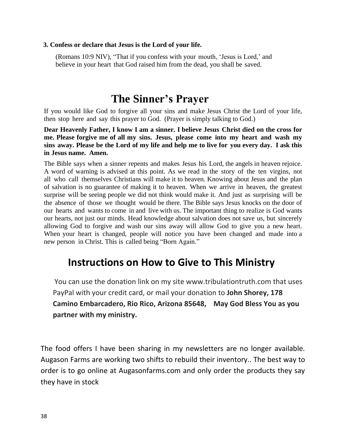#### **3. Confess or declare that Jesus is the Lord of your life.**

(Romans 10:9 NIV), "That if you confess with your mouth, 'Jesus is Lord,' and believe in your heart that God raised him from the dead, you shall be saved.

### **The Sinner's Prayer**

If you would like God to forgive all your sins and make Jesus Christ the Lord of your life, then stop here and say this prayer to God. (Prayer is simply talking to God.)

**Dear Heavenly Father, I know I am a sinner. I believe Jesus Christ died on the cross for me. Please forgive me of all my sins. Jesus, please come into my heart and wash my** sins away. Please be the Lord of my life and help me to live for you every day. I ask this **in Jesus name. Amen.**

The Bible says when a sinner repents and makes Jesus his Lord, the angels in heaven rejoice. A word of warning is advised at this point. As we read in the story of the ten virgins, not all who call themselves Christians will make it to heaven. Knowing about Jesus and the plan of salvation is no guarantee of making it to heaven. When we arrive in heaven, the greatest surprise will be seeing people we did not think would make it. And just as surprising will be the absence of those we thought would be there. The Bible says Jesus knocks on the door of our hearts and wants to come in and live with us. The important thing to realize is God wants our hearts, not just our minds. Head knowledge about salvation does not save us, but sincerely allowing God to forgive and wash our sins away will allow God to give you a new heart. When your heart is changed, people will notice you have been changed and made into a new person in Christ. This is called being "Born Again."

### **Instructions on How to Give to This Ministry**

You can use the donation link on my site www.tribulationtruth.com that uses PayPal with your credit card, or mail your donation to **John Shorey, 178 Camino Embarcadero, Rio Rico, Arizona 85648, May God Bless You as you partner with my ministry.**

The food offers I have been sharing in my newsletters are no longer available. Augason Farms are working two shifts to rebuild their inventory.. The best way to order is to go online at Augasonfarms.com and only order the products they say they have in stock